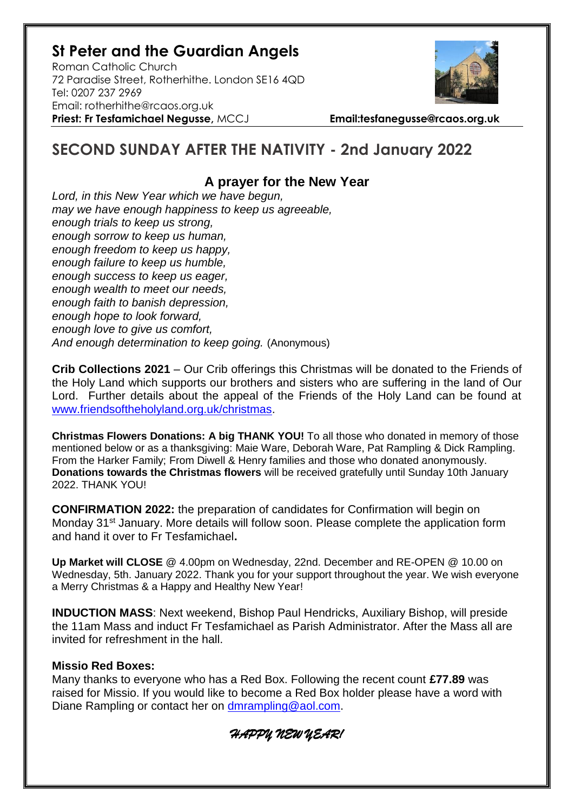## **St Peter and the Guardian Angels**

Roman Catholic Church 72 Paradise Street, Rotherhithe. London SE16 4QD [Tel: 0207](tel:0207) 237 2969 Email: rotherhithe@rcaos.org.uk **Priest: Fr Tesfamichael Negusse,** MCCJ **Email:tesfanegusse@rcaos.org.uk**



# **SECOND SUNDAY AFTER THE NATIVITY - 2nd January 2022**

## **A prayer for the New Year**

*Lord, in this New Year which we have begun, may we have enough happiness to keep us agreeable, enough trials to keep us strong, enough sorrow to keep us human, enough freedom to keep us happy, enough failure to keep us humble, enough success to keep us eager, enough wealth to meet our needs, enough faith to banish depression, enough hope to look forward, enough love to give us comfort, And enough determination to keep going.* (Anonymous)

**Crib Collections 2021** – Our Crib offerings this Christmas will be donated to the Friends of the Holy Land which supports our brothers and sisters who are suffering in the land of Our Lord. Further details about the appeal of the Friends of the Holy Land can be found at [www.friendsoftheholyland.org.uk/christmas.](http://www.friendsoftheholyland.org.uk/christmas)

**Christmas Flowers Donations: A big THANK YOU!** To all those who donated in memory of those mentioned below or as a thanksgiving: Maie Ware, Deborah Ware, Pat Rampling & Dick Rampling. From the Harker Family; From Diwell & Henry families and those who donated anonymously. **Donations towards the Christmas flowers** will be received gratefully until Sunday 10th January 2022. THANK YOU!

**CONFIRMATION 2022:** the preparation of candidates for Confirmation will begin on Monday 31<sup>st</sup> January. More details will follow soon. Please complete the application form and hand it over to Fr Tesfamichael**.** 

**Up Market will CLOSE** @ 4.00pm on Wednesday, 22nd. December and RE-OPEN @ 10.00 on Wednesday, 5th. January 2022. Thank you for your support throughout the year. We wish everyone a Merry Christmas & a Happy and Healthy New Year!

**INDUCTION MASS**: Next weekend, Bishop Paul Hendricks, Auxiliary Bishop, will preside the 11am Mass and induct Fr Tesfamichael as Parish Administrator. After the Mass all are invited for refreshment in the hall.

### **Missio Red Boxes:**

Many thanks to everyone who has a Red Box. Following the recent count **£77.89** was raised for Missio. If you would like to become a Red Box holder please have a word with Diane Rampling or contact her on [dmrampling@aol.com.](mailto:dmrampling@aol.com)

*HAPPY NEW YEAR!*